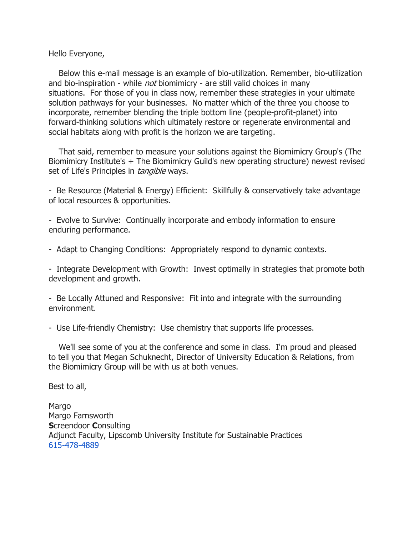## Hello Everyone,

 Below this e-mail message is an example of bio-utilization. Remember, bio-utilization and bio-inspiration - while *not* biomimicry - are still valid choices in many situations. For those of you in class now, remember these strategies in your ultimate solution pathways for your businesses. No matter which of the three you choose to incorporate, remember blending the triple bottom line (people-profit-planet) into forward-thinking solutions which ultimately restore or regenerate environmental and social habitats along with profit is the horizon we are targeting.

 That said, remember to measure your solutions against the Biomimicry Group's (The Biomimicry Institute's + The Biomimicry Guild's new operating structure) newest revised set of Life's Principles in *tangible* ways.

- Be Resource (Material & Energy) Efficient: Skillfully & conservatively take advantage of local resources & opportunities.

- Evolve to Survive: Continually incorporate and embody information to ensure enduring performance.

- Adapt to Changing Conditions: Appropriately respond to dynamic contexts.

- Integrate Development with Growth: Invest optimally in strategies that promote both development and growth.

- Be Locally Attuned and Responsive: Fit into and integrate with the surrounding environment.

- Use Life-friendly Chemistry: Use chemistry that supports life processes.

 We'll see some of you at the conference and some in class. I'm proud and pleased to tell you that Megan Schuknecht, Director of University Education & Relations, from the Biomimicry Group will be with us at both venues.

Best to all,

Margo Margo Farnsworth Screendoor Consulting Adjunct Faculty, Lipscomb University Institute for Sustainable Practices 615-478-4889